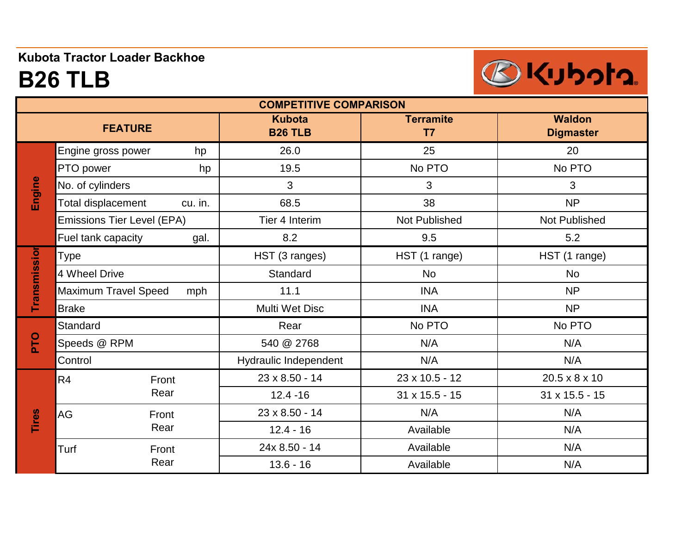### **Kubota Tractor Loader Backhoe**

# **B26 TLB**



| <b>COMPETITIVE COMPARISON</b> |                                    |                                 |                                    |                                   |  |  |  |
|-------------------------------|------------------------------------|---------------------------------|------------------------------------|-----------------------------------|--|--|--|
|                               | <b>FEATURE</b>                     | <b>Kubota</b><br><b>B26 TLB</b> | <b>Terramite</b><br>T <sub>7</sub> | <b>Waldon</b><br><b>Digmaster</b> |  |  |  |
| Engine                        | Engine gross power<br>hp           | 26.0                            | 25                                 | 20                                |  |  |  |
|                               | PTO power<br>hp                    | 19.5                            | No PTO                             | No PTO                            |  |  |  |
|                               | No. of cylinders                   | 3                               | 3                                  | 3                                 |  |  |  |
|                               | Total displacement<br>cu. in.      | 68.5                            | 38                                 | <b>NP</b>                         |  |  |  |
|                               | Emissions Tier Level (EPA)         | Tier 4 Interim                  | Not Published                      | <b>Not Published</b>              |  |  |  |
|                               | Fuel tank capacity<br>gal.         | 8.2                             | 9.5                                | 5.2                               |  |  |  |
| Transmissior                  | Type                               | HST (3 ranges)                  | HST (1 range)                      | HST (1 range)                     |  |  |  |
|                               | 4 Wheel Drive                      | Standard                        | <b>No</b>                          | <b>No</b>                         |  |  |  |
|                               | <b>Maximum Travel Speed</b><br>mph | 11.1                            | <b>INA</b>                         | <b>NP</b>                         |  |  |  |
|                               | <b>Brake</b>                       | Multi Wet Disc                  | <b>INA</b>                         | <b>NP</b>                         |  |  |  |
| PLO                           | <b>Standard</b>                    | Rear                            | No PTO                             | No PTO                            |  |  |  |
|                               | Speeds @ RPM                       | 540 @ 2768                      | N/A                                | N/A                               |  |  |  |
|                               | Control                            | Hydraulic Independent           | N/A                                | N/A                               |  |  |  |
| <b>Tires</b>                  | R <sub>4</sub><br>Front            | 23 x 8.50 - 14                  | 23 x 10.5 - 12                     | 20.5 x 8 x 10                     |  |  |  |
|                               | Rear                               | $12.4 - 16$                     | $31 \times 15.5 - 15$              | $31 \times 15.5 - 15$             |  |  |  |
|                               | AG<br>Front                        | 23 x 8.50 - 14                  | N/A                                | N/A                               |  |  |  |
|                               | Rear                               | $12.4 - 16$                     | Available                          | N/A                               |  |  |  |
|                               | Turf<br>Front                      | 24x 8.50 - 14                   | Available                          | N/A                               |  |  |  |
|                               | Rear                               | $13.6 - 16$                     | Available                          | N/A                               |  |  |  |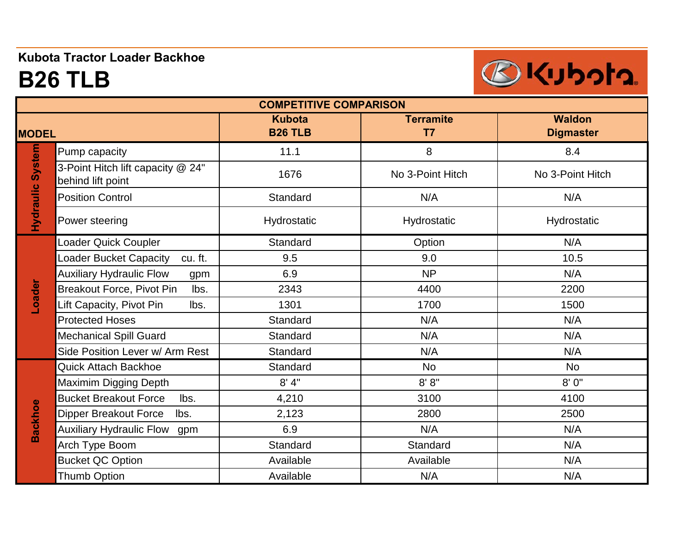#### **Kubota Tractor Loader Backhoe**

# **B26 TLB**



| <b>COMPETITIVE COMPARISON</b> |                                                        |                                 |                                    |                                   |  |  |
|-------------------------------|--------------------------------------------------------|---------------------------------|------------------------------------|-----------------------------------|--|--|
| <b>MODEL</b>                  |                                                        | <b>Kubota</b><br><b>B26 TLB</b> | <b>Terramite</b><br>T <sub>7</sub> | <b>Waldon</b><br><b>Digmaster</b> |  |  |
| <b>Hydraulic System</b>       | Pump capacity                                          | 11.1                            | 8                                  | 8.4                               |  |  |
|                               | 3-Point Hitch lift capacity @ 24"<br>behind lift point | 1676                            | No 3-Point Hitch                   | No 3-Point Hitch                  |  |  |
|                               | <b>Position Control</b>                                | Standard                        | N/A                                | N/A                               |  |  |
|                               | Power steering                                         | Hydrostatic                     | Hydrostatic                        | Hydrostatic                       |  |  |
| Loader                        | Loader Quick Coupler                                   | Standard                        | Option                             | N/A                               |  |  |
|                               | Loader Bucket Capacity<br>cu. ft.                      | 9.5                             | 9.0                                | 10.5                              |  |  |
|                               | <b>Auxiliary Hydraulic Flow</b><br>gpm                 | 6.9                             | <b>NP</b>                          | N/A                               |  |  |
|                               | Breakout Force, Pivot Pin<br>lbs.                      | 2343                            | 4400                               | 2200                              |  |  |
|                               | Lift Capacity, Pivot Pin<br>lbs.                       | 1301                            | 1700                               | 1500                              |  |  |
|                               | <b>Protected Hoses</b>                                 | Standard                        | N/A                                | N/A                               |  |  |
|                               | <b>Mechanical Spill Guard</b>                          | Standard                        | N/A                                | N/A                               |  |  |
|                               | Side Position Lever w/ Arm Rest                        | Standard                        | N/A                                | N/A                               |  |  |
| <b>Backhoe</b>                | <b>Quick Attach Backhoe</b>                            | Standard                        | <b>No</b>                          | <b>No</b>                         |  |  |
|                               | Maximim Digging Depth                                  | 8' 4"                           | 8' 8''                             | 8'0"                              |  |  |
|                               | <b>Bucket Breakout Force</b><br>lbs.                   | 4,210                           | 3100                               | 4100                              |  |  |
|                               | <b>Dipper Breakout Force</b><br>lbs.                   | 2,123                           | 2800                               | 2500                              |  |  |
|                               | <b>Auxiliary Hydraulic Flow</b><br>gpm                 | 6.9                             | N/A                                | N/A                               |  |  |
|                               | Arch Type Boom                                         | Standard                        | Standard                           | N/A                               |  |  |
|                               | <b>Bucket QC Option</b>                                | Available                       | Available                          | N/A                               |  |  |
|                               | <b>Thumb Option</b>                                    | Available                       | N/A                                | N/A                               |  |  |